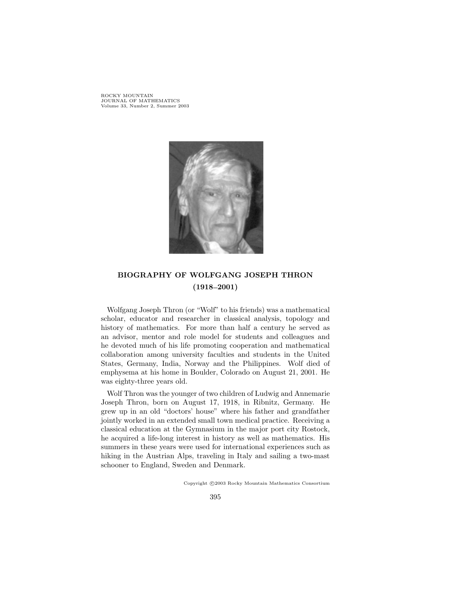**ROCKY MOUNTAIN** JOURNAL OF MATHEMATICS Volume 33, Number 2, Summer 2003



# **BIOGRAPHY OF WOLFGANG JOSEPH THRON (1918 2001)**

Wolfgang Joseph Thron (or "Wolf" to his friends) was a mathematical scholar, educator and researcher in classical analysis, topology and history of mathematics. For more than half a century he served as an advisor, mentor and role model for students and colleagues and he devoted much of his life promoting cooperation and mathematical collaboration among university faculties and students in the United States, Germany, India, Norway and the Philippines. Wolf died of emphysema at his home in Boulder, Colorado on August 21, 2001. He was eighty-three years old.

Wolf Thron was the younger of two children of Ludwig and Annemarie Joseph Thron, born on August 17, 1918, in Ribnitz, Germany. He grew up in an old "doctors' house" where his father and grandfather jointly worked in an extended small town medical practice. Receiving a classical education at the Gymnasium in the major port city Rostock, he acquired a life-long interest in history as well as mathematics. His summers in these years were used for international experiences such as hiking in the Austrian Alps, traveling in Italy and sailing a two-mast schooner to England, Sweden and Denmark.

Copyright  $\odot$  2003 Rocky Mountain Mathematics Consortium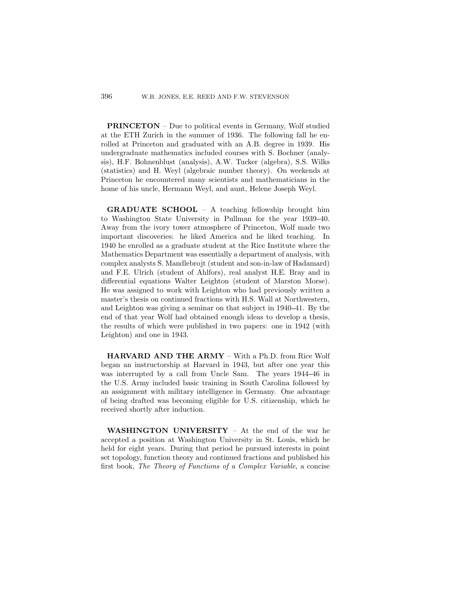**PRINCETON** – Due to political events in Germany, Wolf studied at the ETH Zurich in the summer of 1936. The following fall he enrolled at Princeton and graduated with an A.B. degree in 1939. His undergraduate mathematics included courses with S. Bochner (analysis), H.F. Bohnenblust (analysis), A.W. Tucker (algebra), S.S. Wilks (statistics) and H. Weyl (algebraic number theory). On weekends at Princeton he encountered many scientists and mathematicians in the home of his uncle, Hermann Weyl, and aunt, Helene Joseph Weyl.

**GRADUATE SCHOOL** – A teaching fellowship brought him to Washington State University in Pullman for the year 1939 40. Away from the ivory tower atmosphere of Princeton, Wolf made two important discoveries: he liked America and he liked teaching. In 1940 he enrolled as a graduate student at the Rice Institute where the Mathematics Department was essentially a department of analysis, with complex analysts S. Mandlebrojt (student and son-in-law of Hadamard) and F.E. Ulrich (student of Ahlfors), real analyst H.E. Bray and in differential equations Walter Leighton (student of Marston Morse). He was assigned to work with Leighton who had previously written a master's thesis on continued fractions with H.S. Wall at Northwestern, and Leighton was giving a seminar on that subject in 1940–41. By the end of that year Wolf had obtained enough ideas to develop a thesis, the results of which were published in two papers: one in 1942 (with Leighton) and one in 1943.

**HARVARD AND THE ARMY** – With a Ph.D. from Rice Wolf began an instructorship at Harvard in 1943, but after one year this was interrupted by a call from Uncle Sam. The years 1944-46 in the U.S. Army included basic training in South Carolina followed by an assignment with military intelligence in Germany. One advantage of being drafted was becoming eligible for U.S. citizenship, which he received shortly after induction.

**WASHINGTON UNIVERSITY** – At the end of the war he accepted a position at Washington University in St. Louis, which he held for eight years. During that period he pursued interests in point set topology, function theory and continued fractions and published his first book, *The Theory of Functions of a Complex Variable*, a concise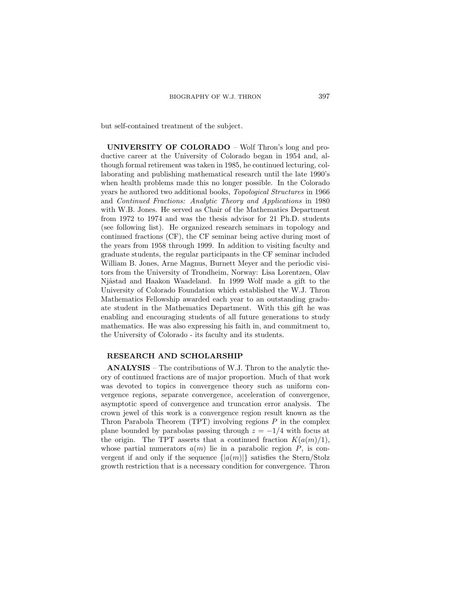but self-contained treatment of the subject.

**UNIVERSITY OF COLORADO** – Wolf Thron's long and productive career at the University of Colorado began in 1954 and, although formal retirement was taken in 1985, he continued lecturing, collaborating and publishing mathematical research until the late 1990's when health problems made this no longer possible. In the Colorado years he authored two additional books, *Topological Structures* in 1966 and *Continued Fractions: Analytic Theory and Applications* in 1980 with W.B. Jones. He served as Chair of the Mathematics Department from 1972 to 1974 and was the thesis advisor for 21 Ph.D. students (see following list). He organized research seminars in topology and continued fractions (CF), the CF seminar being active during most of the years from 1958 through 1999. In addition to visiting faculty and graduate students, the regular participants in the CF seminar included William B. Jones, Arne Magnus, Burnett Meyer and the periodic visitors from the University of Trondheim, Norway: Lisa Lorentzen, Olav Njåstad and Haakon Waadeland. In 1999 Wolf made a gift to the University of Colorado Foundation which established the W.J. Thron Mathematics Fellowship awarded each year to an outstanding graduate student in the Mathematics Department. With this gift he was enabling and encouraging students of all future generations to study mathematics. He was also expressing his faith in, and commitment to, the University of Colorado - its faculty and its students.

#### **RESEARCH AND SCHOLARSHIP**

**ANALYSIS** – The contributions of W.J. Thron to the analytic theory of continued fractions are of major proportion. Much of that work was devoted to topics in convergence theory such as uniform convergence regions, separate convergence, acceleration of convergence, asymptotic speed of convergence and truncation error analysis. The crown jewel of this work is a convergence region result known as the Thron Parabola Theorem (TPT) involving regions *P* in the complex plane bounded by parabolas passing through  $z = -1/4$  with focus at the origin. The TPT asserts that a continued fraction  $K(a(m)/1)$ , whose partial numerators  $a(m)$  lie in a parabolic region  $P$ , is convergent if and only if the sequence  $\{|a(m)|\}$  satisfies the Stern/Stolz growth restriction that is a necessary condition for convergence. Thron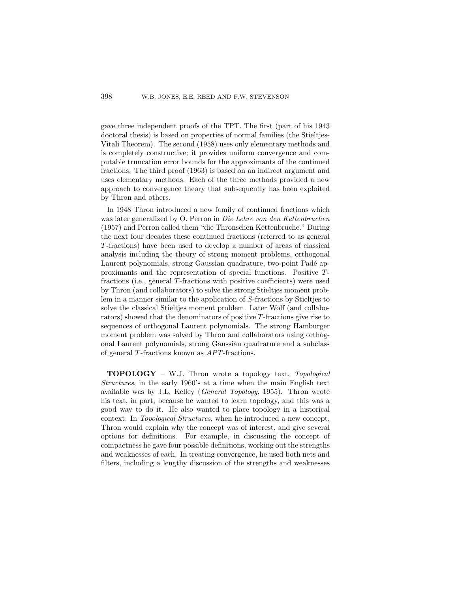gave three independent proofs of the TPT. The first (part of his 1943 doctoral thesis) is based on properties of normal families (the Stieltjes-Vitali Theorem). The second (1958) uses only elementary methods and is completely constructive; it provides uniform convergence and computable truncation error bounds for the approximants of the continued fractions. The third proof (1963) is based on an indirect argument and uses elementary methods. Each of the three methods provided a new approach to convergence theory that subsequently has been exploited by Thron and others.

In 1948 Thron introduced a new family of continued fractions which was later generalized by O. Perron in *Die Lehre von den Kettenbruchen* (1957) and Perron called them "die Thronschen Kettenbruche." During the next four decades these continued fractions (referred to as general *T*-fractions) have been used to develop a number of areas of classical analysis including the theory of strong moment problems, orthogonal Laurent polynomials, strong Gaussian quadrature, two-point Padé approximants and the representation of special functions. Positive *T*fractions (i.e., general *T*-fractions with positive coefficients) were used by Thron (and collaborators) to solve the strong Stieltjes moment problem in a manner similar to the application of *S*-fractions by Stieltjes to solve the classical Stieltjes moment problem. Later Wolf (and collaborators) showed that the denominators of positive *T*-fractions give rise to sequences of orthogonal Laurent polynomials. The strong Hamburger moment problem was solved by Thron and collaborators using orthogonal Laurent polynomials, strong Gaussian quadrature and a subclass of general *T*-fractions known as *APT*-fractions.

**TOPOLOGY** – W.J. Thron wrote a topology text, *Topological Structures*, in the early 1960's at a time when the main English text available was by J.L. Kelley (*General Topology*, 1955). Thron wrote his text, in part, because he wanted to learn topology, and this was a good way to do it. He also wanted to place topology in a historical context. In *Topological Structures*, when he introduced a new concept, Thron would explain why the concept was of interest, and give several options for definitions. For example, in discussing the concept of compactness he gave four possible definitions, working out the strengths and weaknesses of each. In treating convergence, he used both nets and filters, including a lengthy discussion of the strengths and weaknesses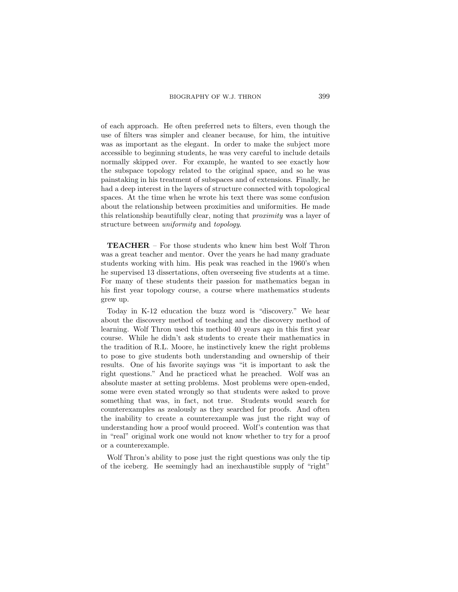of each approach. He often preferred nets to filters, even though the use of filters was simpler and cleaner because, for him, the intuitive was as important as the elegant. In order to make the subject more accessible to beginning students, he was very careful to include details normally skipped over. For example, he wanted to see exactly how the subspace topology related to the original space, and so he was painstaking in his treatment of subspaces and of extensions. Finally, he had a deep interest in the layers of structure connected with topological spaces. At the time when he wrote his text there was some confusion about the relationship between proximities and uniformities. He made this relationship beautifully clear, noting that *proximity* was a layer of structure between *uniformity* and *topology*.

**TEACHER** – For those students who knew him best Wolf Thron was a great teacher and mentor. Over the years he had many graduate students working with him. His peak was reached in the 1960's when he supervised 13 dissertations, often overseeing five students at a time. For many of these students their passion for mathematics began in his first year topology course, a course where mathematics students grew up.

Today in K-12 education the buzz word is "discovery." We hear about the discovery method of teaching and the discovery method of learning. Wolf Thron used this method 40 years ago in this first year course. While he didn't ask students to create their mathematics in the tradition of R.L. Moore, he instinctively knew the right problems to pose to give students both understanding and ownership of their results. One of his favorite sayings was "it is important to ask the right questions." And he practiced what he preached. Wolf was an absolute master at setting problems. Most problems were open-ended, some were even stated wrongly so that students were asked to prove something that was, in fact, not true. Students would search for counterexamples as zealously as they searched for proofs. And often the inability to create a counterexample was just the right way of understanding how a proof would proceed. Wolf's contention was that in "real" original work one would not know whether to try for a proof or a counterexample.

Wolf Thron's ability to pose just the right questions was only the tip of the iceberg. He seemingly had an inexhaustible supply of "right"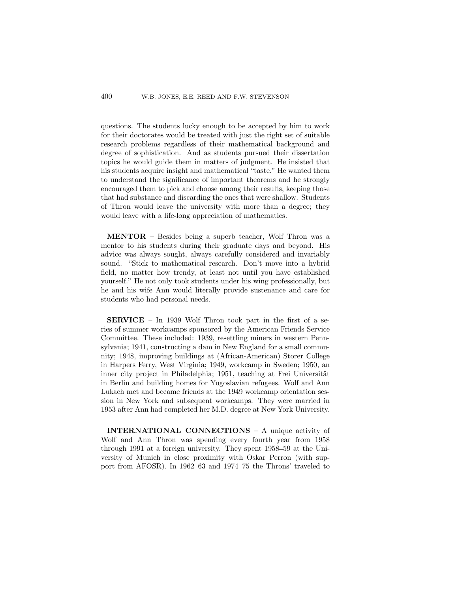questions. The students lucky enough to be accepted by him to work for their doctorates would be treated with just the right set of suitable research problems regardless of their mathematical background and degree of sophistication. And as students pursued their dissertation topics he would guide them in matters of judgment. He insisted that his students acquire insight and mathematical "taste." He wanted them to understand the significance of important theorems and he strongly encouraged them to pick and choose among their results, keeping those that had substance and discarding the ones that were shallow. Students of Thron would leave the university with more than a degree; they would leave with a life-long appreciation of mathematics.

**MENTOR** – Besides being a superb teacher, Wolf Thron was a mentor to his students during their graduate days and beyond. His advice was always sought, always carefully considered and invariably sound. "Stick to mathematical research. Don't move into a hybrid field, no matter how trendy, at least not until you have established yourself." He not only took students under his wing professionally, but he and his wife Ann would literally provide sustenance and care for students who had personal needs.

**SERVICE** – In 1939 Wolf Thron took part in the first of a series of summer workcamps sponsored by the American Friends Service Committee. These included: 1939, resettling miners in western Pennsylvania; 1941, constructing a dam in New England for a small community; 1948, improving buildings at (African-American) Storer College in Harpers Ferry, West Virginia; 1949, workcamp in Sweden; 1950, an inner city project in Philadelphia; 1951, teaching at Frei Universität in Berlin and building homes for Yugoslavian refugees. Wolf and Ann Lukach met and became friends at the 1949 workcamp orientation session in New York and subsequent workcamps. They were married in 1953 after Ann had completed her M.D. degree at New York University.

**INTERNATIONAL CONNECTIONS** – A unique activity of Wolf and Ann Thron was spending every fourth year from 1958 through 1991 at a foreign university. They spent 1958–59 at the University of Munich in close proximity with Oskar Perron (with support from AFOSR). In 1962–63 and 1974–75 the Throns' traveled to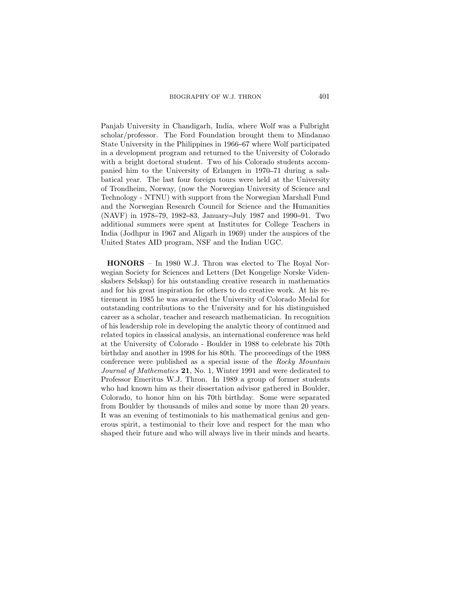Panjab University in Chandigarh, India, where Wolf was a Fulbright scholar/professor. The Ford Foundation brought them to Mindanao State University in the Philippines in 1966 67 where Wolf participated in a development program and returned to the University of Colorado with a bright doctoral student. Two of his Colorado students accompanied him to the University of Erlangen in 1970–71 during a sabbatical year. The last four foreign tours were held at the University of Trondheim, Norway, (now the Norwegian University of Science and Technology - NTNU) with support from the Norwegian Marshall Fund and the Norwegian Research Council for Science and the Humanities (NAVF) in 1978–79, 1982–83, January–July 1987 and 1990–91. Two additional summers were spent at Institutes for College Teachers in India (Jodhpur in 1967 and Aligarh in 1969) under the auspices of the United States AID program, NSF and the Indian UGC.

**HONORS** – In 1980 W.J. Thron was elected to The Royal Norwegian Society for Sciences and Letters (Det Kongelige Norske Videnskabers Selskap) for his outstanding creative research in mathematics and for his great inspiration for others to do creative work. At his retirement in 1985 he was awarded the University of Colorado Medal for outstanding contributions to the University and for his distinguished career as a scholar, teacher and research mathematician. In recognition of his leadership role in developing the analytic theory of continued and related topics in classical analysis, an international conference was held at the University of Colorado - Boulder in 1988 to celebrate his 70th birthday and another in 1998 for his 80th. The proceedings of the 1988 conference were published as a special issue of the *Rocky Mountain Journal of Mathematics* **21**, No. 1, Winter 1991 and were dedicated to Professor Emeritus W.J. Thron. In 1989 a group of former students who had known him as their dissertation advisor gathered in Boulder, Colorado, to honor him on his 70th birthday. Some were separated from Boulder by thousands of miles and some by more than 20 years. It was an evening of testimonials to his mathematical genius and generous spirit, a testimonial to their love and respect for the man who shaped their future and who will always live in their minds and hearts.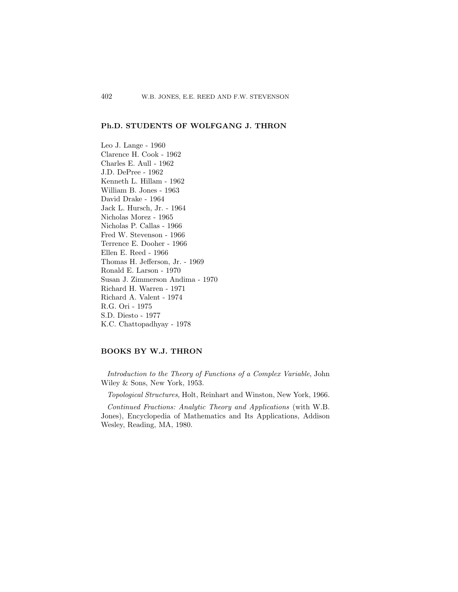### **Ph.D. STUDENTS OF WOLFGANG J. THRON**

Leo J. Lange - 1960 Clarence H. Cook - 1962 Charles E. Aull - 1962 J.D. DePree - 1962 Kenneth L. Hillam - 1962 William B. Jones - 1963 David Drake - 1964 Jack L. Hursch, Jr. - 1964 Nicholas Morez - 1965 Nicholas P. Callas - 1966 Fred W. Stevenson - 1966 Terrence E. Dooher - 1966 Ellen E. Reed - 1966 Thomas H. Jefferson, Jr. - 1969 Ronald E. Larson - 1970 Susan J. Zimmerson Andima - 1970 Richard H. Warren - 1971 Richard A. Valent - 1974 R.G. Ori - 1975 S.D. Diesto - 1977 K.C. Chattopadhyay - 1978

## **BOOKS BY W.J. THRON**

*Introduction to the Theory of Functions of a Complex Variable*, John Wiley & Sons, New York, 1953.

*Topological Structures*, Holt, Reinhart and Winston, New York, 1966.

*Continued Fractions: Analytic Theory and Applications* (with W.B. Jones), Encyclopedia of Mathematics and Its Applications, Addison Wesley, Reading, MA, 1980.